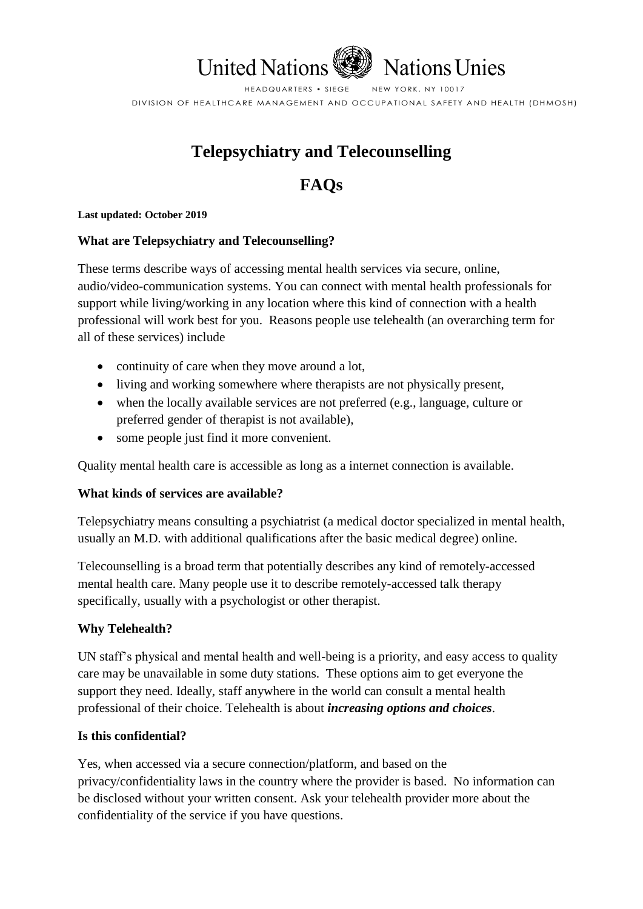

HEADQUARTERS • SIEGE NEW YORK, NY 10017 DIVISION OF HEALTHCARE MANAGEMENT AND OCCUPATIONAL SAFETY AND HEALTH (DHMOSH)

# **Telepsychiatry and Telecounselling**

# **FAQs**

#### **Last updated: October 2019**

## **What are Telepsychiatry and Telecounselling?**

These terms describe ways of accessing mental health services via secure, online, audio/video-communication systems. You can connect with mental health professionals for support while living/working in any location where this kind of connection with a health professional will work best for you. Reasons people use telehealth (an overarching term for all of these services) include

- continuity of care when they move around a lot,
- living and working somewhere where therapists are not physically present,
- when the locally available services are not preferred (e.g., language, culture or preferred gender of therapist is not available),
- some people just find it more convenient.

Quality mental health care is accessible as long as a internet connection is available.

## **What kinds of services are available?**

Telepsychiatry means consulting a psychiatrist (a medical doctor specialized in mental health, usually an M.D. with additional qualifications after the basic medical degree) online.

Telecounselling is a broad term that potentially describes any kind of remotely-accessed mental health care. Many people use it to describe remotely-accessed talk therapy specifically, usually with a psychologist or other therapist.

## **Why Telehealth?**

UN staff's physical and mental health and well-being is a priority, and easy access to quality care may be unavailable in some duty stations. These options aim to get everyone the support they need. Ideally, staff anywhere in the world can consult a mental health professional of their choice. Telehealth is about *increasing options and choices*.

## **Is this confidential?**

Yes, when accessed via a secure connection/platform, and based on the privacy/confidentiality laws in the country where the provider is based. No information can be disclosed without your written consent. Ask your telehealth provider more about the confidentiality of the service if you have questions.